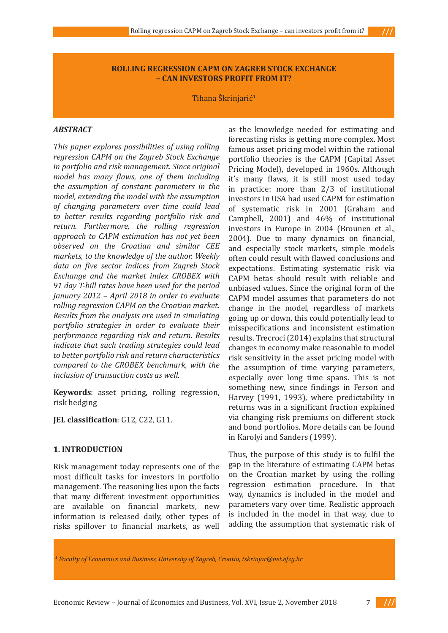### **ROLLING REGRESSION CAPM ON ZAGREB STOCK EXCHANGE – CAN INVESTORS PROFIT FROM IT?**

Tihana Škrinjarić<sup>1</sup>

### *ABSTRACT*

*This paper explores possibilities of using rolling regression CAPM on the Zagreb Stock Exchange in portfolio and risk management. Since original model has many flaws, one of them including the assumption of constant parameters in the model, extending the model with the assumption of changing parameters over time could lead to better results regarding portfolio risk and return. Furthermore, the rolling regression approach to CAPM estimation has not yet been observed on the Croatian and similar CEE markets, to the knowledge of the author. Weekly data on five sector indices from Zagreb Stock Exchange and the market index CROBEX with 91 day T-bill rates have been used for the period January 2012 – April 2018 in order to evaluate rolling regression CAPM on the Croatian market. Results from the analysis are used in simulating portfolio strategies in order to evaluate their performance regarding risk and return. Results indicate that such trading strategies could lead to better portfolio risk and return characteristics compared to the CROBEX benchmark, with the inclusion of transaction costs as well.*

**Keywords**: asset pricing, rolling regression, risk hedging

**JEL classification**: G12, C22, G11.

### **1. INTRODUCTION**

Risk management today represents one of the most difficult tasks for investors in portfolio management. The reasoning lies upon the facts that many different investment opportunities are available on financial markets, new information is released daily, other types of risks spillover to financial markets, as well as the knowledge needed for estimating and forecasting risks is getting more complex. Most famous asset pricing model within the rational portfolio theories is the CAPM (Capital Asset Pricing Model), developed in 1960s. Although it's many flaws, it is still most used today in practice: more than 2/3 of institutional investors in USA had used CAPM for estimation of systematic risk in 2001 (Graham and Campbell, 2001) and 46% of institutional investors in Europe in 2004 (Brounen et al., 2004). Due to many dynamics on financial, and especially stock markets, simple models often could result with flawed conclusions and expectations. Estimating systematic risk via CAPM betas should result with reliable and unbiased values. Since the original form of the CAPM model assumes that parameters do not change in the model, regardless of markets going up or down, this could potentially lead to misspecifications and inconsistent estimation results. Trecroci (2014) explains that structural changes in economy make reasonable to model risk sensitivity in the asset pricing model with the assumption of time varying parameters, especially over long time spans. This is not something new, since findings in Ferson and Harvey (1991, 1993), where predictability in returns was in a significant fraction explained via changing risk premiums on different stock and bond portfolios. More details can be found in Karolyi and Sanders (1999).

Thus, the purpose of this study is to fulfil the gap in the literature of estimating CAPM betas on the Croatian market by using the rolling regression estimation procedure. In that way, dynamics is included in the model and parameters vary over time. Realistic approach is included in the model in that way, due to adding the assumption that systematic risk of

*1 Faculty of Economics and Business, University of Zagreb, Croatia, tskrinjar@net.efzg.hr*



 $\frac{1}{1}$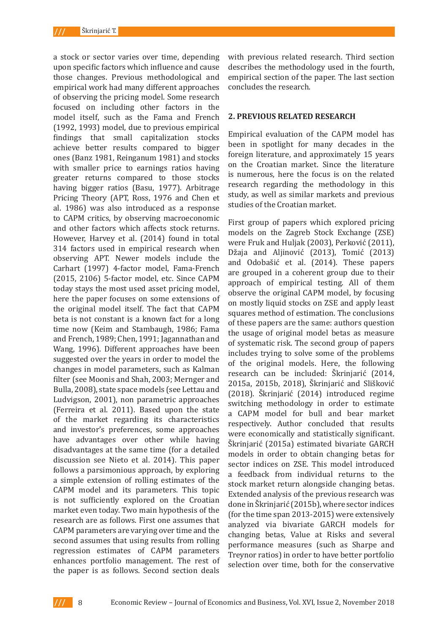a stock or sector varies over time, depending upon specific factors which influence and cause those changes. Previous methodological and empirical work had many different approaches of observing the pricing model. Some research focused on including other factors in the model itself, such as the Fama and French (1992, 1993) model, due to previous empirical findings that small capitalization stocks achieve better results compared to bigger ones (Banz 1981, Reinganum 1981) and stocks with smaller price to earnings ratios having greater returns compared to those stocks having bigger ratios (Basu, 1977). Arbitrage Pricing Theory (APT, Ross, 1976 and Chen et al. 1986) was also introduced as a response to CAPM critics, by observing macroeconomic and other factors which affects stock returns. However, Harvey et al. (2014) found in total 314 factors used in empirical research when observing APT. Newer models include the Carhart (1997) 4-factor model, Fama-French (2015, 2106) 5-factor model, etc. Since CAPM today stays the most used asset pricing model, here the paper focuses on some extensions of the original model itself. The fact that CAPM beta is not constant is a known fact for a long time now (Keim and Stambaugh, 1986; Fama and French, 1989; Chen, 1991; Jagannathan and Wang, 1996). Different approaches have been suggested over the years in order to model the changes in model parameters, such as Kalman filter (see Moonis and Shah, 2003; Mernger and Bulla, 2008), state space models (see Lettau and Ludvigson, 2001), non parametric approaches (Ferreira et al. 2011). Based upon the state of the market regarding its characteristics and investor's preferences, some approaches have advantages over other while having disadvantages at the same time (for a detailed discussion see Nieto et al. 2014). This paper follows a parsimonious approach, by exploring a simple extension of rolling estimates of the CAPM model and its parameters. This topic is not sufficiently explored on the Croatian market even today. Two main hypothesis of the research are as follows. First one assumes that CAPM parameters are varying over time and the second assumes that using results from rolling regression estimates of CAPM parameters enhances portfolio management. The rest of the paper is as follows. Second section deals with previous related research. Third section describes the methodology used in the fourth, empirical section of the paper. The last section concludes the research.

### **2. PREVIOUS RELATED RESEARCH**

Empirical evaluation of the CAPM model has been in spotlight for many decades in the foreign literature, and approximately 15 years on the Croatian market. Since the literature is numerous, here the focus is on the related research regarding the methodology in this study, as well as similar markets and previous studies of the Croatian market.

First group of papers which explored pricing models on the Zagreb Stock Exchange (ZSE) were Fruk and Huljak (2003), Perković (2011), Džaja and Aljinović (2013), Tomić (2013) and Odobašić et al. (2014). These papers are grouped in a coherent group due to their approach of empirical testing. All of them observe the original CAPM model, by focusing on mostly liquid stocks on ZSE and apply least squares method of estimation. The conclusions of these papers are the same: authors question the usage of original model betas as measure of systematic risk. The second group of papers includes trying to solve some of the problems of the original models. Here, the following research can be included: Škrinjarić (2014, 2015a, 2015b, 2018), Škrinjarić and Slišković (2018). Škrinjarić (2014) introduced regime switching methodology in order to estimate a CAPM model for bull and bear market respectively. Author concluded that results were economically and statistically significant. Škrinjarić (2015a) estimated bivariate GARCH models in order to obtain changing betas for sector indices on ZSE. This model introduced a feedback from individual returns to the stock market return alongside changing betas. Extended analysis of the previous research was done in Škrinjarić (2015b), where sector indices (for the time span 2013-2015) were extensively analyzed via bivariate GARCH models for changing betas, Value at Risks and several performance measures (such as Sharpe and Treynor ratios) in order to have better portfolio selection over time, both for the conservative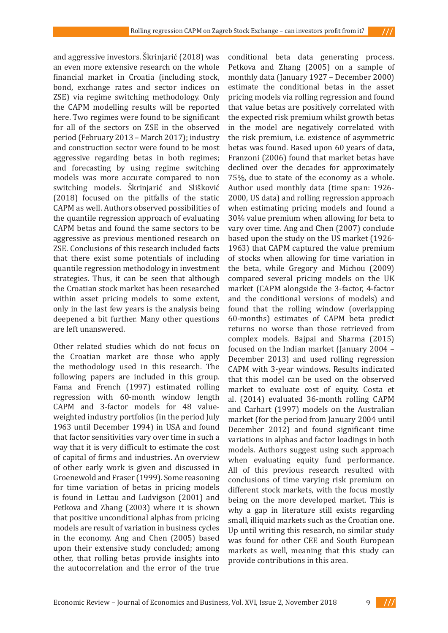and aggressive investors. Škrinjarić (2018) was an even more extensive research on the whole financial market in Croatia (including stock, bond, exchange rates and sector indices on ZSE) via regime switching methodology. Only the CAPM modelling results will be reported here. Two regimes were found to be significant for all of the sectors on ZSE in the observed period (February 2013 – March 2017); industry and construction sector were found to be most aggressive regarding betas in both regimes; and forecasting by using regime switching models was more accurate compared to non switching models. Škrinjarić and Slišković (2018) focused on the pitfalls of the static CAPM as well. Authors observed possibilities of the quantile regression approach of evaluating CAPM betas and found the same sectors to be aggressive as previous mentioned research on ZSE. Conclusions of this research included facts that there exist some potentials of including quantile regression methodology in investment strategies. Thus, it can be seen that although the Croatian stock market has been researched within asset pricing models to some extent, only in the last few years is the analysis being deepened a bit further. Many other questions are left unanswered.

Other related studies which do not focus on the Croatian market are those who apply the methodology used in this research. The following papers are included in this group. Fama and French (1997) estimated rolling regression with 60-month window length CAPM and 3-factor models for 48 valueweighted industry portfolios (in the period July 1963 until December 1994) in USA and found that factor sensitivities vary over time in such a way that it is very difficult to estimate the cost of capital of firms and industries. An overview of other early work is given and discussed in Groenewold and Fraser (1999). Some reasoning for time variation of betas in pricing models is found in Lettau and Ludvigson (2001) and Petkova and Zhang (2003) where it is shown that positive unconditional alphas from pricing models are result of variation in business cycles in the economy. Ang and Chen (2005) based upon their extensive study concluded; among other, that rolling betas provide insights into the autocorrelation and the error of the true

conditional beta data generating process. Petkova and Zhang (2005) on a sample of monthly data (January 1927 – December 2000) estimate the conditional betas in the asset pricing models via rolling regression and found that value betas are positively correlated with the expected risk premium whilst growth betas in the model are negatively correlated with the risk premium, i.e. existence of asymmetric betas was found. Based upon 60 years of data, Franzoni (2006) found that market betas have declined over the decades for approximately 75%, due to state of the economy as a whole. Author used monthly data (time span: 1926- 2000, US data) and rolling regression approach when estimating pricing models and found a 30% value premium when allowing for beta to vary over time. Ang and Chen (2007) conclude based upon the study on the US market (1926- 1963) that CAPM captured the value premium of stocks when allowing for time variation in the beta, while Gregory and Michou (2009) compared several pricing models on the UK market (CAPM alongside the 3-factor, 4-factor and the conditional versions of models) and found that the rolling window (overlapping 60-months) estimates of CAPM beta predict returns no worse than those retrieved from complex models. Bajpai and Sharma (2015) focused on the Indian market (January 2004 – December 2013) and used rolling regression CAPM with 3-year windows. Results indicated that this model can be used on the observed market to evaluate cost of equity. Costa et al. (2014) evaluated 36-month rolling CAPM and Carhart (1997) models on the Australian market (for the period from January 2004 until December 2012) and found significant time variations in alphas and factor loadings in both models. Authors suggest using such approach when evaluating equity fund performance. All of this previous research resulted with conclusions of time varying risk premium on different stock markets, with the focus mostly being on the more developed market. This is why a gap in literature still exists regarding small, illiquid markets such as the Croatian one. Up until writing this research, no similar study was found for other CEE and South European markets as well, meaning that this study can provide contributions in this area.



 $111$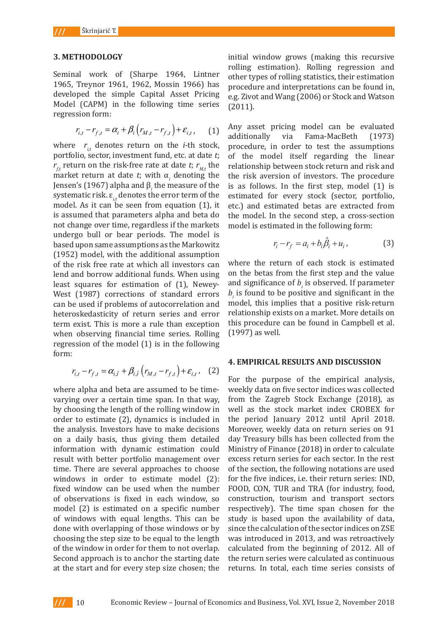#### **3. METHODOLOGY**

Seminal work of (Sharpe 1964, Lintner 1965, Treynor 1961, 1962, Mossin 1966) has developed the simple Capital Asset Pricing Model (CAPM) in the following time series regression form:

$$
r_{i,t} - r_{f,t} = \alpha_i + \beta_i \left( r_{M,t} - r_{f,t} \right) + \varepsilon_{i,t}, \qquad (1)
$$

where  $r_{i,t}$  denotes return on the *i*-th stock, portfolio, sector, investment fund, etc. at date  $t$ ; of the model itself  $r_{f,t}$  return on the risk-free rate at date *t*;  $r_{M,t}$  the market return at date  $t$ ; with  $\alpha$ <sub>i</sub> denoting the Jensen's (1967) alpha and β*<sup>i</sup>* the measure of the systematic risk.  $\varepsilon_i$ , denotes the error term of the model. As it can be seen from equation (1), it is assumed that parameters alpha and beta do not change over time, regardless if the markets undergo bull or bear periods. The model is based upon same assumptions as the Markowitz (1952) model, with the additional assumption of the risk free rate at which all investors can lend and borrow additional funds. When using least squares for estimation of (1), Newey-West (1987) corrections of standard errors can be used if problems of autocorrelation and heteroskedasticity of return series and error term exist. This is more a rule than exception when observing financial time series. Rolling (1997) as well. regression of the model  $(1)$  is in the following form: gardiess if the markets – model is estimated in the following form:<br>serieds – The model is  $\alpha$  additional assumption  $\alpha$  the return of each step is estimated on the first step and the value of  $\alpha$ 

$$
r_{i,t} - r_{f,t} = \alpha_{i,\tilde{t}} + \beta_{i,\tilde{t}} \left( r_{M,t} - r_{f,t} \right) + \varepsilon_{i,t}, \quad (2)
$$
  
For the purpose of the empirical analysis,

where alpha and beta are assumed to be timevarying over a certain time span. In that way, by choosing the length of the rolling window in order to estimate (2), dynamics is included in the analysis. Investors have to make decisions on a daily basis, thus giving them detailed information with dynamic estimation could result with better portfolio management over time. There are several approaches to choose windows in order to estimate model (2): fixed window can be used when the number of observations is fixed in each window, so construction, touris model (2) is estimated on a specific number of windows with equal lengths. This can be done with overlapping of those windows or by choosing the step size to be equal to the length of the window in order for them to not overlap. Second approach is to anchor the starting date at the start and for every step size chosen; the

initial window grows (making this recursive rolling estimation). Rolling regression and harpe 1964, Lintner other types of rolling statistics, their estimation  $\frac{162}{120}$ , Mossin 1966) has procedure and interpretations can be found in, Lapital Asset Pricing e.g. Zivot and Wang (2006) or Stock and Watson (2011). to be the series  $(2011)$ .

Any asset pricing model can be evaluated additionally via Fama-MacBeth (1973) procedure, in order to test the assumptions of the model itself regarding the linear relationship between stock return and risk and ; with  $\alpha_i$  denoting the the risk aversion of investors. The procedure d  $\beta$ <sub>i</sub> the measure of the is as follows. In the first step, model (1) is es the error term of the estimated for every stock (sector, portfolio, i from equation  $(1)$ , it etc.) and estimated betas are extracted from ters alpha and beta do the model. In the second step, a cross-section is to anchor the starting date at the starting date at the start and for every step size chosen; the initial window  $\alpha$  $r_{M,t} - r_{f,t}$  +  $\varepsilon_{i,t}$ , (1) Any asset pricing model can be evaluated additionally via faina macbers (1970)<br>in on the i-th stock procedure in order to test the assumptions

$$
r_i - r_f = a_i + b_i \hat{\beta}_i + u_i, \qquad (3)
$$

where the return of each stock is estimated on the beta from the first step and the value in the significance of *b* is found to be parameter  $\frac{1}{2}$  is  $\frac{1}{2}$  in the parameter  $\frac{1}{2}$  in the betas from the first step and the value and rands. When doing  $\frac{1}{2}$  and significance of  $b_i$  is observed. If parameter as of standard errors  $b_i$  is found to be positive and significant in the model, this implies that a positive risk-return turn series and error relationship exists on a market. More details on this procedure can be found in Campbell et al. (1997) as well.

# **4. EMPIRICAL RESULTS AND DISCUSSION**

 $\sum_{i=1}^{M,n}$  analysis, For the purpose of the empirical analysis, e assumed to be time- weekly data on five sector indices was collected ime span. In that way, from the Zagreb Stock Exchange (2018), as f the rolling window in well as the stock market index CROBEX for ynamics is included in the period January 2012 until April 2018. ave to make decisions Moreover, weekly data on return series on 91 day Treasury bills has been collected from the Ministry of Finance (2018) in order to calculate excess return series for each sector. In the rest of the transaction costs in the study for the study for the study for the study for the study for the study for the study for the study for the study for the study for the approaches to choose of the section, the following notations are used estimate model  $(2)$ : for the five indices, i.e. their return series: IND, sed when the number FOOD, CON, TUR and TRA (for industry, food, construction, tourism and transport sectors respectively). The time span chosen for the lengths. This can be study is based upon the availability of data,  $\frac{1}{2}$ f those windows or by since the calculation of the sector indices on ZSE was introduced in 2013, and was retroactively calculated from the beginning of 2012. All of of them to not overlapt calculated from the segmining of 2012. In order method in approach the starting date the return series were calculated as continuous returns. In total, each time series consists of continuous returns. In the series returns. In the series consistent in the series consistent in the series of 3010 in order to coloulate The equal to the rength was introduced in 2015, and was retroactively<br>or tham to not overlap coloulated from the hoginning of 2012 All of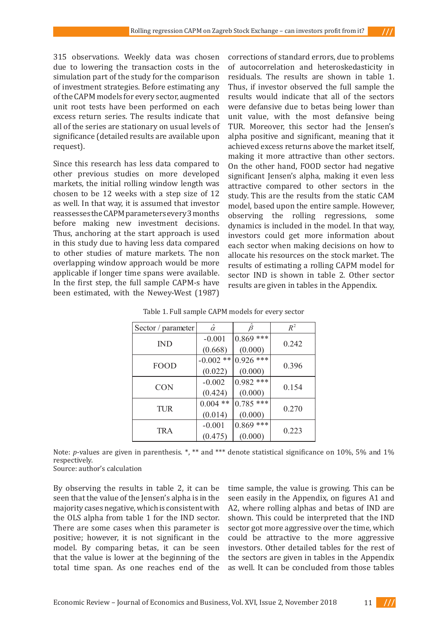315 observations. Weekly data was chosen due to lowering the transaction costs in the simulation part of the study for the comparison of investment strategies. Before estimating any of the CAPM models for every sector, augmented unit root tests have been performed on each excess return series. The results indicate that all of the series are stationary on usual levels of significance (detailed results are available upon request).

other previous studies on more developed significant Jensen's alpha, making it even les markets, the initial rolling window length was chosen to be 12 weeks with a step size of 12 as well. In that way, it is assumed that investor reassesses the CAPM parameters every 3 months before making new investment decisions. Thus, anchoring at the start approach is used ind the study due to having less data compared the sectors could get more information about in this study due to having less data compared each sector when making decisions on how to to other studies of mature markets. The non allocate his resources on the stock market. The rolling regressions, some dynamics of mature markets. The non overlapping window approach would be more each model in the model for the stock market. The overlapping window applicable if longer time spans were available. Sector IND is shown in table 2. Other secto In the first step, the full sample CAPM-s have results are given in tables in the Appendix. been estimated, with the Newey-West (1987)

Since this research has less data compared to  $\frac{1}{2}$  on the other hand, FOOD sector had negative corrections of standard errors, due to problems of autocorrelation and heteroskedasticity in residuals. The results are shown in table 1. Thus, if investor observed the full sample the results would indicate that all of the sectors were defansive due to betas being lower than unit value, with the most defansive being If of the series are stationary on usual levels of TUR. Moreover, this sector had the Jensen's ignificance (detailed results are available upon alpha positive and significant, meaning that it is achieved excess returns above the market itself, making it more attractive than other sectors. On the other hand, FOOD sector had negative significant Jensen's alpha, making it even less narkets, the initial rolling window length was attractive compared to other sectors in the hosen to be 12 weeks with a step size of  $12$  study. This are the results from the static CAM s well. In that way, it is assumed that investor model, based upon the entire sample. However, eassesses the CAPM parameters every 3 months observing the rolling regressions, some efore making new investment decisions. dynamics is included in the model. In that way,<br>bus anchoring at the start approach is used investors could get more information about each sector when making decisions on how to allocate his resources on the stock market. The results of estimating a rolling CAPM model for sector IND is shown in table 2. Other sector results are given in tables in the Appendix.  $\alpha$ ilable. In the first step, the full sample  $\alpha$  and full sample in the full sample between  $\alpha$  have  $\alpha$  have  $\alpha$  have  $\alpha$  have  $\alpha$  have  $\alpha$  have  $\alpha$  have  $\alpha$  have  $\alpha$  have  $\alpha$  have  $\alpha$  have  $\alpha$  have  $\alpha$  h

 $111$ 

| Sector / parameter | $\hat{\alpha}$ | $\hat{\beta}$ | $R^2$ |
|--------------------|----------------|---------------|-------|
| <b>IND</b>         | $-0.001$       | $0.869$ ***   | 0.242 |
|                    | (0.668)        | (0.000)       |       |
| <b>FOOD</b>        | $-0.002$ **    | $0.926$ ***   | 0.396 |
|                    | (0.022)        | (0.000)       |       |
| <b>CON</b>         | $-0.002$       | $0.982$ ***   | 0.154 |
|                    | (0.424)        | (0.000)       |       |
|                    | $0.004$ **     | $0.785$ ***   | 0.270 |
| <b>TUR</b>         | (0.014)        | (0.000)       |       |
|                    | $-0.001$       | $0.869$ ***   |       |
| TRA                | (0.475)        | (0.000)       | 0.223 |

| Table 1. Full sample CAPM models for every sector |  |
|---------------------------------------------------|--|
|                                                   |  |

Note: *p*-values are given in parenthesis. \*, \*\* and \*\*\* denote statistical significance on 10%, 5% and 1%  $r_{\text{e}}$  respectively.

Source: author's calculation Source: author's calculation

By observing the results in table 2, it can be seen that the value of the Jensen's alpha is in the majority cases negative, which is consistent with the OLS alpha from table 1 for the IND sector. There are some cases when this parameter is sector got more aggressive over the time, which positive; however, it is not significant in the model. By comparing betas, it can be seen that the value is lower at the beginning of the

total time span. As one reaches end of the as well. It can be concluded from those table by observing the results in table 2, it can be time sample, the value is growing. This can be  $\frac{1}{2}$ seen easily in the Appendix, on figures A1 and A2, where rolling alphas and betas of IND are shown. This could be interpreted that the IND sector got more aggressive over the time, which ositive; however, it is not significant in the could be attractive to the more aggressive nodel. By comparing betas, it can be seen investors. Other detailed tables for the rest of hat the value is lower at the beginning of the the sectors are given in tables in the Appendix as well. It can be concluded from those tables the majority cases of the majority of majority in the distribution of the original majority of the OLS alpha f<br>Consistent the occupation which is consistent with the OLS alpha such the club of the original hotel of IND an Informer cases in game, which is consistent with the where rounng arphas and betas or ind are<br>ho OLC alpha from table 1 for the IND sector – shown. This could be interpreted that the INI

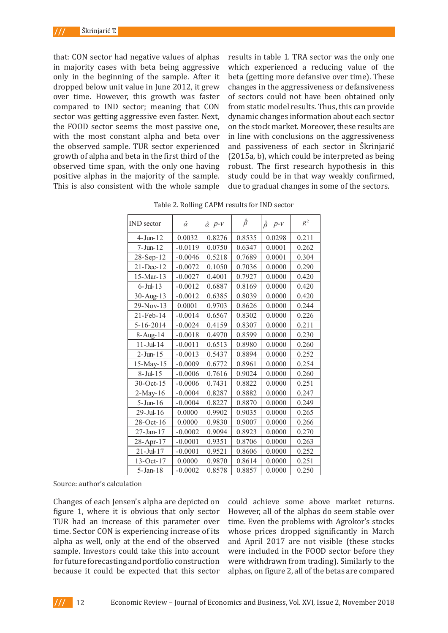that: CON sector had negative values of alphas in majority cases with beta being aggressive only in the beginning of the sample. After it dropped below unit value in June 2012, it grew over time. However, this growth was faster compared to IND sector; meaning that CON sector was getting aggressive even faster. Next, the FOOD sector seems the most passive one, with the most constant alpha and beta over the observed sample. TUR sector experienced growth of alpha and beta in the first third of the observed time span, with the only one having positive alphas in the majority of the sample. This is also consistent with the whole sample results in table 1. TRA sector was the only one which experienced a reducing value of the beta (getting more defansive over time). These changes in the aggressiveness or defansiveness of sectors could not have been obtained only from static model results. Thus, this can provide dynamic changes information about each sector on the stock market. Moreover, these results are in line with conclusions on the aggressiveness and passiveness of each sector in Škrinjarić (2015a, b), which could be interpreted as being robust. The first research hypothesis in this study could be in that way weakly confirmed, due to gradual changes in some of the sectors.

| <b>IND</b> sector | $\hat{\alpha}$ | $\hat{\alpha}$ $p$ - $V$ | $\hat{\beta}$ | $p\nu$<br>$\hat{\beta}$ | $R^2$ |
|-------------------|----------------|--------------------------|---------------|-------------------------|-------|
| $4-J$ un- $12$    | 0.0032         | 0.8276                   | 0.8535        | 0.0298                  | 0.211 |
| $7 -$ Jun $-12$   | $-0.0119$      | 0.0750                   | 0.6347        | 0.0001                  | 0.262 |
| 28-Sep-12         | $-0.0046$      | 0.5218                   | 0.7689        | 0.0001                  | 0.304 |
| 21-Dec-12         | $-0.0072$      | 0.1050                   | 0.7036        | 0.0000                  | 0.290 |
| 15-Mar-13         | $-0.0027$      | 0.4001                   | 0.7927        | 0.0000                  | 0.420 |
| $6$ -Jul-13       | $-0.0012$      | 0.6887                   | 0.8169        | 0.0000                  | 0.420 |
| 30-Aug-13         | $-0.0012$      | 0.6385                   | 0.8039        | 0.0000                  | 0.420 |
| 29-Nov-13         | 0.0001         | 0.9703                   | 0.8626        | 0.0000                  | 0.244 |
| 21-Feb-14         | $-0.0014$      | 0.6567                   | 0.8302        | 0.0000                  | 0.226 |
| $5 - 16 - 2014$   | $-0.0024$      | 0.4159                   | 0.8307        | 0.0000                  | 0.211 |
| 8-Aug-14          | $-0.0018$      | 0.4970                   | 0.8599        | 0.0000                  | 0.230 |
| $11 -$ Jul- $14$  | $-0.0011$      | 0.6513                   | 0.8980        | 0.0000                  | 0.260 |
| $2-J$ un- $15$    | $-0.0013$      | 0.5437                   | 0.8894        | 0.0000                  | 0.252 |
| 15-May-15         | $-0.0009$      | 0.6772                   | 0.8961        | 0.0000                  | 0.254 |
| $8$ -Jul-15       | $-0.0006$      | 0.7616                   | 0.9024        | 0.0000                  | 0.260 |
| $30$ -Oct-15      | $-0.0006$      | 0.7431                   | 0.8822        | 0.0000                  | 0.251 |
| $2-May-16$        | $-0.0004$      | 0.8287                   | 0.8882        | 0.0000                  | 0.247 |
| $5 -$ Jun $-16$   | $-0.0004$      | 0.8227                   | 0.8870        | 0.0000                  | 0.249 |
| $29$ -Jul-16      | 0.0000         | 0.9902                   | 0.9035        | 0.0000                  | 0.265 |
| 28-Oct-16         | 0.0000         | 0.9830                   | 0.9007        | 0.0000                  | 0.266 |
| 27-Jan-17         | $-0.0002$      | 0.9094                   | 0.8923        | 0.0000                  | 0.270 |
| 28-Apr-17         | $-0.0001$      | 0.9351                   | 0.8706        | 0.0000                  | 0.263 |
| $21 -$ Jul-17     | $-0.0001$      | 0.9521                   | 0.8606        | 0.0000                  | 0.252 |
| 13-Oct-17         | 0.0000         | 0.9870                   | 0.8614        | 0.0000                  | 0.251 |
| $5 - Jan - 18$    | $-0.0002$      | 0.8578                   | 0.8857        | 0.0000                  | 0.250 |

| Table 2. Rolling CAPM results for IND sector |  |  |  |  |
|----------------------------------------------|--|--|--|--|
|                                              |  |  |  |  |

Source: author's calculation Source: author's calculation

Changes of each Jensen's alpha are depicted on figure 1, where it is obvious that only sector TUR had an increase of this parameter over time. Sector CON is experiencing increase of its alpha as well, only at the end of the observed sample. Investors could take this into account for future forecasting and portfolio construction because it could be expected that this sector alphas, on figure 2, all of the betas are

f each Jensen's alpha are depicted on could achieve some above market returns. However, all of the alphas do seem stable over an increase of this parameter over time. Even the problems with Agrokor's stocks or CON is experiencing increase of its whose prices dropped significantly in March rell, only at the end of the observed ) and April 2017 are not visible (these stocks vestors could take this into account were included in the FOOD sector before they orecasting and portfolio construction were withdrawn from trading). Similarly to the alphas, on figure 2, all of the betas are compared sector Turns and an increase of the time. Sector Control increase of the sector Control increase of the sector CON is experienced in the sector CON is experienced in the sector CON is experienced in the sector CON is exper  $\sum_{i=1}^{\infty}$  is obvious that only sector  $\sum_{i=1}^{\infty}$  flowevel, all of the alphas do seem s

 $111 -$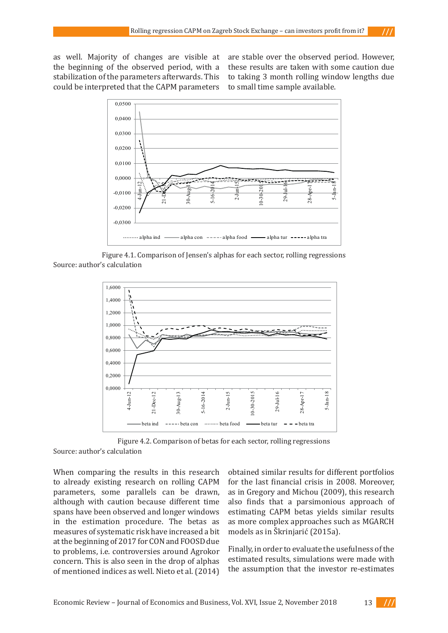as well. Majority of changes are visible at the beginning of the observed period, with a stabilization of the parameters afterwards. This could be interpreted that the CAPM parameters

are stable over the observed period. However, these results are taken with some caution due to taking 3 month rolling window lengths due to small time sample available.



Figure 4.1. Comparison of Jensen's alphas for each sector, rolling regressions Source: author's calculation



Figure 4.2. Comparison of betas for each sector, rolling regressions

Source: author's calculation

When comparing the results in this research to already existing research on rolling CAPM parameters, some parallels can be drawn, although with caution because different time spans have been observed and longer windows in the estimation procedure. The betas as measures of systematic risk have increased a bit at the beginning of 2017 for CON and FOOSD due to problems, i.e. controversies around Agrokor concern. This is also seen in the drop of alphas of mentioned indices as well. Nieto et al. (2014)

obtained similar results for different portfolios for the last financial crisis in 2008. Moreover, as in Gregory and Michou (2009), this research also finds that a parsimonious approach of estimating CAPM betas yields similar results as more complex approaches such as MGARCH models as in Škrinjarić (2015a).

Finally, in order to evaluate the usefulness of the estimated results, simulations were made with the assumption that the investor re-estimates

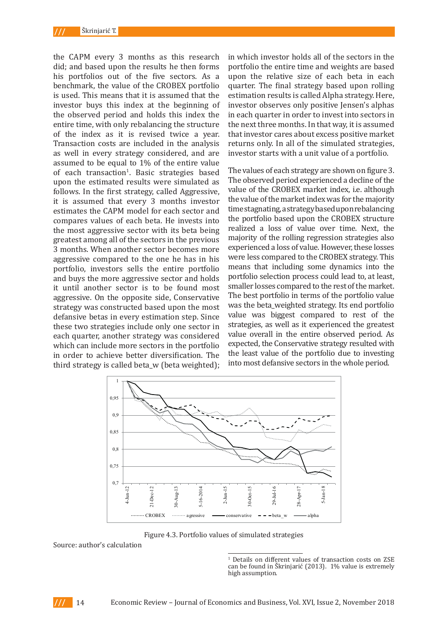the CAPM every 3 months as this research did; and based upon the results he then forms his portfolios out of the five sectors. As a benchmark, the value of the CROBEX portfolio is used. This means that it is assumed that the investor buys this index at the beginning of the observed period and holds this index the entire time, with only rebalancing the structure of the index as it is revised twice a year. Transaction costs are included in the analysis as well in every strategy considered, and are assumed to be equal to 1% of the entire value of each transaction<sup>1</sup>. Basic strategies based upon the estimated results were simulated as follows. In the first strategy, called Aggressive, it is assumed that every 3 months investor estimates the CAPM model for each sector and compares values of each beta. He invests into the most aggressive sector with its beta being greatest among all of the sectors in the previous 3 months. When another sector becomes more aggressive compared to the one he has in his portfolio, investors sells the entire portfolio and buys the more aggressive sector and holds it until another sector is to be found most aggressive. On the opposite side, Conservative strategy was constructed based upon the most defansive betas in every estimation step. Since these two strategies include only one sector in each quarter, another strategy was considered which can include more sectors in the portfolio in order to achieve better diversification. The third strategy is called beta\_w (beta weighted);

in which investor holds all of the sectors in the portfolio the entire time and weights are based upon the relative size of each beta in each quarter. The final strategy based upon rolling estimation results is called Alpha strategy. Here, investor observes only positive Jensen's alphas in each quarter in order to invest into sectors in the next three months. In that way, it is assumed that investor cares about excess positive market returns only. In all of the simulated strategies, investor starts with a unit value of a portfolio.

The values of each strategy are shown on figure 3. The observed period experienced a decline of the value of the CROBEX market index, i.e. although the value of the market index was for the majority time stagnating, a strategy based upon rebalancing the portfolio based upon the CROBEX structure realized a loss of value over time. Next, the majority of the rolling regression strategies also experienced a loss of value. However, these losses were less compared to the CROBEX strategy. This means that including some dynamics into the portfolio selection process could lead to, at least, smaller losses compared to the rest of the market. The best portfolio in terms of the portfolio value was the beta\_weighted strategy. Its end portfolio value was biggest compared to rest of the strategies, as well as it experienced the greatest value overall in the entire observed period. As expected, the Conservative strategy resulted with the least value of the portfolio due to investing into most defansive sectors in the whole period.



Figure 4.3. Portfolio values of simulated strategies

Source: author's calculation



<sup>&</sup>lt;sup>1</sup> Details on different values of transaction costs on ZSE can be found in Škrinjarić (2013). 1% value is extremely high assumption.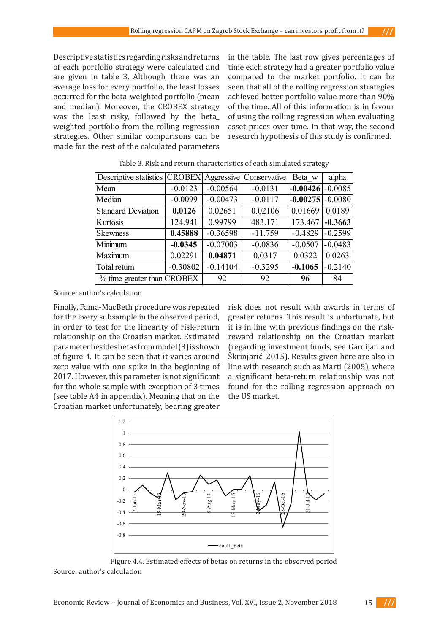Descriptive statistics regarding risks and returns of each portfolio strategy were calculated and are given in table 3. Although, there was an average loss for every portfolio, the least losses occurred for the beta\_weighted portfolio (mean and median). Moreover, the CROBEX strategy was the least risky, followed by the beta\_ weighted portfolio from the rolling regression strategies. Other similar comparisons can be made for the rest of the calculated parameters

in the table. The last row gives percentages of time each strategy had a greater portfolio value compared to the market portfolio. It can be seen that all of the rolling regression strategies achieved better portfolio value more than 90% of the time. All of this information is in favour of using the rolling regression when evaluating asset prices over time. In that way, the second research hypothesis of this study is confirmed.

| Descriptive statistics   CROBEX |            |            | Aggressive Conservative | Beta w               | alpha     |
|---------------------------------|------------|------------|-------------------------|----------------------|-----------|
| Mean                            | $-0.0123$  | $-0.00564$ | $-0.0131$               | $-0.00426$ $-0.0085$ |           |
| Median                          | $-0.0099$  | $-0.00473$ | $-0.0117$               | $-0.00275$ $-0.0080$ |           |
| <b>Standard Deviation</b>       | 0.0126     | 0.02651    | 0.02106                 | 0.01669              | 0.0189    |
| Kurtosis                        | 124.941    | 0.99799    | 483.171                 | 173.467              | $-0.3663$ |
| <b>Skewness</b>                 | 0.45888    | $-0.36598$ | $-11.759$               | $-0.4829$            | $-0.2599$ |
| Minimum                         | $-0.0345$  | $-0.07003$ | $-0.0836$               | $-0.0507$            | $-0.0483$ |
| Maximum                         | 0.02291    | 0.04871    | 0.0317                  | 0.0322               | 0.0263    |
| Total return                    | $-0.30802$ | $-0.14104$ | $-0.3295$               | $-0.1065$            | $-0.2140$ |
| % time greater than CROBEX      |            | 92         | 92                      | 96                   | 84        |

Table 3. Risk and return characteristics of each simulated strategy

Source: author's calculation

Finally, Fama-MacBeth procedure was repeated for the every subsample in the observed period, in order to test for the linearity of risk-return relationship on the Croatian market. Estimated parameter besides betas from model (3) is shown of figure 4. It can be seen that it varies around zero value with one spike in the beginning of 2017. However, this parameter is not significant for the whole sample with exception of 3 times (see table A4 in appendix). Meaning that on the Croatian market unfortunately, bearing greater

risk does not result with awards in terms of greater returns. This result is unfortunate, but it is in line with previous findings on the riskreward relationship on the Croatian market (regarding investment funds, see Gardijan and Škrinjarić, 2015). Results given here are also in line with research such as Marti (2005), where a significant beta-return relationship was not found for the rolling regression approach on the US market.



Figure 4.4. Estimated effects of betas on returns in the observed period Source: author's calculation

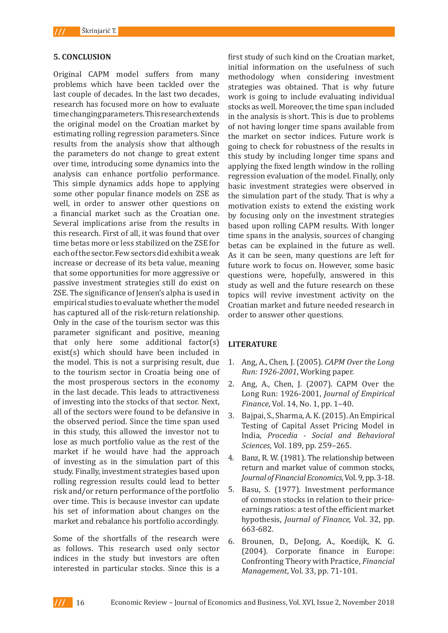### **5. CONCLUSION**

Original CAPM model suffers from many problems which have been tackled over the last couple of decades. In the last two decades, research has focused more on how to evaluate time changing parameters. This research extends the original model on the Croatian market by estimating rolling regression parameters. Since results from the analysis show that although the parameters do not change to great extent over time, introducing some dynamics into the analysis can enhance portfolio performance. This simple dynamics adds hope to applying some other popular finance models on ZSE as well, in order to answer other questions on a financial market such as the Croatian one. Several implications arise from the results in this research. First of all, it was found that over time betas more or less stabilized on the ZSE for each of the sector. Few sectors did exhibit a weak increase or decrease of its beta value, meaning that some opportunities for more aggressive or passive investment strategies still do exist on ZSE. The significance of Jensen's alpha is used in empirical studies to evaluate whether the model has captured all of the risk-return relationship. Only in the case of the tourism sector was this parameter significant and positive, meaning that only here some additional factor(s) exist(s) which should have been included in the model. This is not a surprising result, due to the tourism sector in Croatia being one of the most prosperous sectors in the economy in the last decade. This leads to attractiveness of investing into the stocks of that sector. Next, all of the sectors were found to be defansive in the observed period. Since the time span used in this study, this allowed the investor not to lose as much portfolio value as the rest of the market if he would have had the approach of investing as in the simulation part of this study. Finally, investment strategies based upon rolling regression results could lead to better risk and/or return performance of the portfolio over time. This is because investor can update his set of information about changes on the market and rebalance his portfolio accordingly.

Some of the shortfalls of the research were as follows. This research used only sector indices in the study but investors are often interested in particular stocks. Since this is a

first study of such kind on the Croatian market, initial information on the usefulness of such methodology when considering investment strategies was obtained. That is why future work is going to include evaluating individual stocks as well. Moreover, the time span included in the analysis is short. This is due to problems of not having longer time spans available from the market on sector indices. Future work is going to check for robustness of the results in this study by including longer time spans and applying the fixed length window in the rolling regression evaluation of the model. Finally, only basic investment strategies were observed in the simulation part of the study. That is why a motivation exists to extend the existing work by focusing only on the investment strategies based upon rolling CAPM results. With longer time spans in the analysis, sources of changing betas can be explained in the future as well. As it can be seen, many questions are left for future work to focus on. However, some basic questions were, hopefully, answered in this study as well and the future research on these topics will revive investment activity on the Croatian market and future needed research in order to answer other questions.

### **LITERATURE**

- 1. Ang, A., Chen, J. (2005). *CAPM Over the Long Run: 1926-2001*, Working paper.
- 2. Ang, A., Chen, J. (2007). CAPM Over the Long Run: 1926-2001, *Journal of Empirical Finance*, Vol. 14, No. 1, pp. 1–40.
- 3. Bajpai, S., Sharma, A. K. (2015). An Empirical Testing of Capital Asset Pricing Model in India, *Procedia - Social and Behavioral Sciences*, Vol. 189, pp. 259–265.
- 4. Banz, R. W. (1981). The relationship between return and market value of common stocks, *Journal of Financial Economics*, Vol. 9, pp. 3-18.
- 5. Basu, S. (1977). Investment performance of common stocks in relation to their priceearnings ratios: a test of the efficient market hypothesis, *Journal of Finance*, Vol. 32, pp. 663-682.
- 6. Brounen, D., DeJong, A., Koedijk, K. G. (2004). Corporate finance in Europe: Confronting Theory with Practice, *Financial Management*, Vol. 33, pp. 71-101.

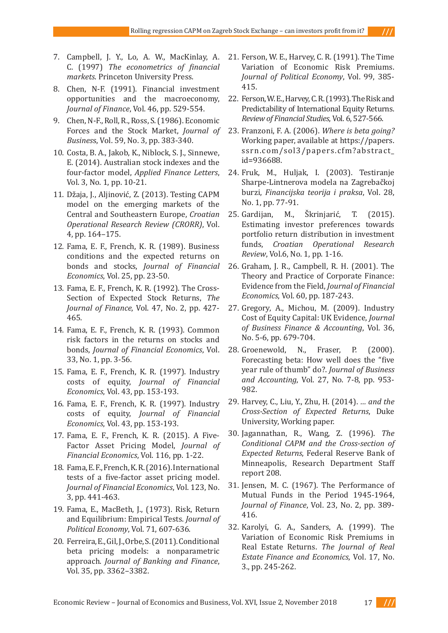- 7. Campbell, J. Y., Lo, A. W., MacKinlay, A. C. (1997) *The econometrics of financial markets*. Princeton University Press.
- 8. Chen, N-F. (1991). Financial investment opportunities and the macroeconomy, *Journal of Finance*, Vol. 46, pp. 529-554.
- 9. Chen, N-F., Roll, R., Ross, S. (1986). Economic Forces and the Stock Market, *Journal of Busines*s, Vol. 59, No. 3, pp. 383-340.
- 10. Costa, B. A., Jakob, K., Niblock, S. J., Sinnewe, E. (2014). Australian stock indexes and the four-factor model, *Applied Finance Letters*, Vol. 3, No. 1, pp. 10-21.
- 11. Džaja, J., Aljinović, Z. (2013). Testing CAPM model on the emerging markets of the Central and Southeastern Europe, *Croatian Operational Research Review (CRORR)*, Vol. 4, pp. 164–175.
- 12. Fama, E. F., French, K. R. (1989). Business conditions and the expected returns on bonds and stocks, *Journal of Financial Economics*, Vol. 25, pp. 23-50.
- 13. Fama, E. F., French, K. R. (1992). The Cross-Section of Expected Stock Returns, *The Journal of Finance*, Vol. 47, No. 2, pp. 427- 465.
- 14. Fama, E. F., French, K. R. (1993). Common risk factors in the returns on stocks and bonds, *Journal of Financial Economics*, Vol. 33, No. 1, pp. 3-56.
- 15. Fama, E. F., French, K. R. (1997). Industry costs of equity, *Journal of Financial Economics*, Vol. 43, pp. 153-193.
- 16. Fama, E. F., French, K. R. (1997). Industry costs of equity, *Journal of Financial Economics*, Vol. 43, pp. 153-193.
- 17. Fama, E. F., French, K. R. (2015). A Five-Factor Asset Pricing Model, *Journal of Financial Economics*, Vol. 116, pp. 1-22.
- 18. Fama, E. F., French, K. R. (2016). International tests of a five-factor asset pricing model. *Journal of Financial Economics*, Vol. 123, No. 3, pp. 441-463.
- 19. Fama, E., MacBeth, J., (1973). Risk, Return and Equilibrium: Empirical Tests. *Journal of Political Economy*, Vol. 71, 607-636.
- 20. Ferreira, E., Gil, J., Orbe, S. (2011). Conditional beta pricing models: a nonparametric approach. *Journal of Banking and Finance*, Vol. 35, pp. 3362–3382.
- 21. Ferson, W. E., Harvey, C. R. (1991). The Time Variation of Economic Risk Premiums. *Journal of Political Economy*, Vol. 99, 385- 415.
- 22. Ferson, W. E., Harvey, C. R. (1993). The Risk and Predictability of International Equity Returns. *Review of Financial Studies*, Vol. 6, 527-566.
- 23. Franzoni, F. A. (2006). *Where is beta going?* Working paper, available at https://papers. ssrn.com/sol3/papers.cfm?abstract\_ id=936688.
- 24. Fruk, M., Huljak, I. (2003). Testiranje Sharpe-Lintnerova modela na Zagrebačkoj burzi, *Financijska teorija i praksa*, Vol. 28, No. 1, pp. 77-91.
- 25. Gardijan, M., Škrinjarić, T. (2015). Estimating investor preferences towards portfolio return distribution in investment funds, *Croatian Operational Research Review*, Vol.6, No. 1, pp. 1-16.
- 26. Graham, J. R., Campbell, R. H. (2001). The Theory and Practice of Corporate Finance: Evidence from the Field, *Journal of Financial Economics*, Vol. 60, pp. 187-243.
- 27. Gregory, A., Michou, M. (2009). Industry Cost of Equity Capital: UK Evidence, *Journal of Business Finance & Accounting*, Vol. 36, No. 5-6, pp. 679-704.
- 28. Groenewold, N., Fraser, P. (2000). Forecasting beta: How well does the "five year rule of thumb" do?. *Journal of Business and Accounting*, Vol. 27, No. 7-8, pp. 953- 982.
- 29. Harvey, C., Liu, Y., Zhu, H. (2014). *… and the Cross-Section of Expected Returns*, Duke University, Working paper.
- 30. Jagannathan, R., Wang, Z. (1996). *The Conditional CAPM and the Cross-section of Expected Returns*, Federal Reserve Bank of Minneapolis, Research Department Staff report 208.
- 31. Jensen, M. C. (1967). The Performance of Mutual Funds in the Period 1945-1964, *Journal of Finance*, Vol. 23, No. 2, pp. 389- 416.
- 32. Karolyi, G. A., Sanders, A. (1999). The Variation of Economic Risk Premiums in Real Estate Returns. *The Journal of Real Estate Finance and Economics*, Vol. 17, No. 3., pp. 245-262.

- 111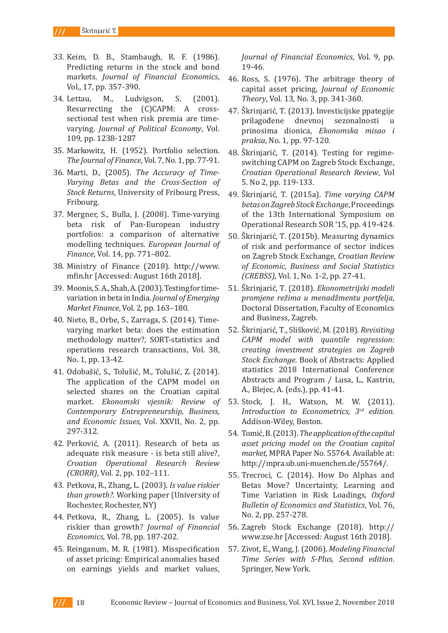$III$ Škrinjarić T.

- 33. Keim, D. B., Stambaugh, R. F. (1986). Predicting returns in the stock and bond markets. *Journal of Financial Economics*, Vol., 17, pp. 357-390.
- 34. Lettau, M., Ludvigson, S. (2001). Resurrecting the (C)CAPM: A crosssectional test when risk premia are timevarying. *Journal of Political Economy*, Vol. 109, pp. 1238-1287
- 35. Markowitz, H. (1952). Portfolio selection. *The Journal of Finance*, Vol. 7, No. 1, pp. 77-91.
- 36. Marti, D., (2005). *The Accuracy of Time-Varying Betas and the Cross-Section of Stock Returns*, University of Fribourg Press, Fribourg.
- 37. Mergner, S., Bulla, J. (2008). Time-varying beta risk of Pan-European industry portfolios: a comparison of alternative modelling techniques. *European Journal of Finance*, Vol. 14, pp. 771–802.
- 38. Ministry of Finance (2018). http://www. mfin.hr [Accessed: August 16th 2018].
- 39. Moonis, S. A., Shah, A. (2003). Testing for timevariation in beta in India. *Journal of Emerging Market Finance*, Vol. 2, pp. 163–180.
- 40. Nieto, B., Orbe, S., Zarraga, S. (2014). Timevarying market beta: does the estimation methodology matter?, SORT-statistics and operations research transactions, Vol. 38, No. 1, pp. 13-42.
- 41. Odobašić, S., Tolušić, M., Tolušić, Z. (2014). The application of the CAPM model on selected shares on the Croatian capital market. *Ekonomski vjesnik: Review of Contemporary Entrepreneurship, Business, and Economic Issues*, Vol. XXVII, No. 2, pp. 297-312.
- 42. Perković, A. (2011). Research of beta as adequate risk measure - is beta still alive?, *Croatian Operational Research Review (CRORR)*, Vol. 2, pp. 102–111.
- 43. Petkova, R., Zhang, L. (2003). *Is value riskier than growth?*. Working paper (University of Rochester, Rochester, NY)
- 44. Petkova, R., Zhang, L. (2005). Is value riskier than growth? *Journal of Financial Economics*, Vol. 78, pp. 187-202.
- 45. Reinganum, M. R. (1981). Misspecification of asset pricing: Empirical anomalies based on earnings yields and market values,

*Journal of Financial Economics*, Vol. 9, pp. 19-46.

- 46. Ross, S. (1976). The arbitrage theory of capital asset pricing, *Journal of Economic Theory*, Vol. 13, No. 3, pp. 341-360.
- 47. Škrinjarić, T. (2013). Investicijske ppategije prilagođene dnevnoj prinosima dionica, *Ekonomska misao i praksa*, No. 1, pp. 97-120.
- 48. Škrinjarić, T. (2014). Testing for regimeswitching CAPM on Zagreb Stock Exchange, *Croatian Operational Research Review*, Vol 5. No 2, pp. 119-133.
- 49. Škrinjarić, T. (2015a). *Time varying CAPM betas on Zagreb Stock Exchange*, Proceedings of the 13th International Symposium on Operational Research SOR '15, pp. 419-424.
- 50. Škrinjarić, T. (2015b). Measuring dynamics of risk and performance of sector indices on Zagreb Stock Exchange, *Croatian Review of Economic, Business and Social Statistics (CREBSS)*, Vol. 1, No. 1-2, pp. 27-41.
- 51. Škrinjarić, T. (2018). *Ekonometrijski modeli promjene režima u menadžmentu portfelja*, Doctoral Dissertation, Faculty of Economics and Business, Zagreb.
- 52. Škrinjarić, T., Slišković, M. (2018). *Revisiting CAPM model with quantile regression: creating investment strategies on Zagreb Stock Exchange*. Book of Abstracts: Applied statistics 2018 International Conference Abstracts and Program / Lusa, L., Kastrin, A., Blejec, A. (eds.), pp. 41-41.
- 53. Stock, J. H., Watson, M. W. (2011). *Introduction to Econometrics, 3rd edition.* Addison-Wiley, Boston.
- 54. Tomić, B. (2013). *The application of the capital asset pricing model on the Croatian capital market*, MPRA Paper No. 55764. Available at: http://mpra.ub.uni-muenchen.de/55764/.
- 55. Trecroci, C. (2014). How Do Alphas and Betas Move? Uncertainty, Learning and Time Variation in Risk Loadings, *Oxford Bulletin of Economics and Statistics*, Vol. 76, No. 2, pp. 257-278.
- 56. Zagreb Stock Exchange (2018). http:// www.zse.hr [Accessed: August 16th 2018].
- 57. Zivot, E., Wang, J. (2006). *Modeling Financial Time Series with S-Plus, Second edition*. Springer, New York.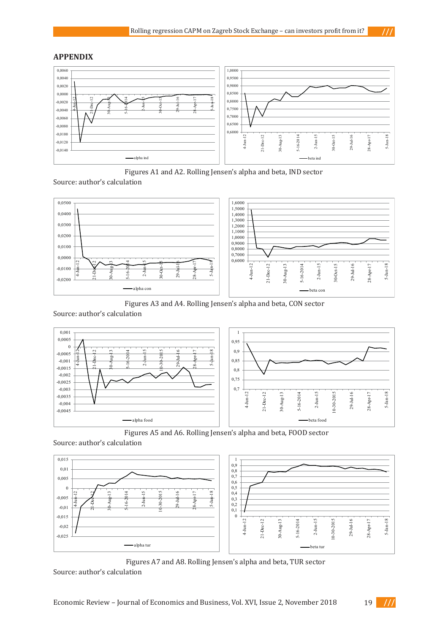$111$ 

 $111$ 

### **APPENDIX**



Figures A1 and A2. Rolling Jensen's alpha and beta, IND sector

Source: author's calculation



Figures A3 and A4. Rolling Jensen's alpha and beta, CON sector

Source: author's calculation



Figures A5 and A6. Rolling Jensen's alpha and beta, FOOD sector

Source: author's calculation



Figures A7 and A8. Rolling Jensen's alpha and beta, TUR sector

Source: author's calculation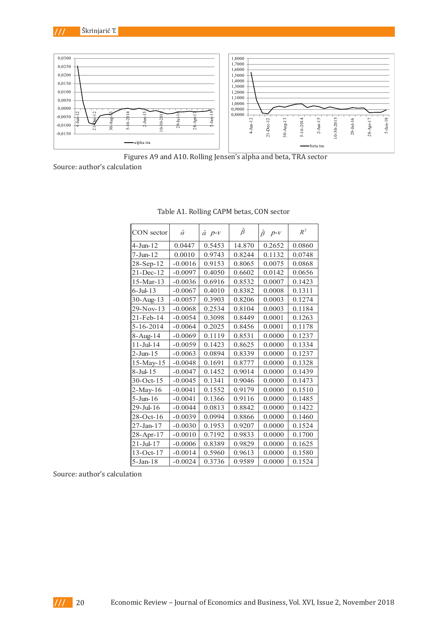



Figures A9 and A10. Rolling Jensen's alpha and beta, TRA sector<br>ulation Source: author's calculation -0,0100 4-Jun-12 21-Dec-12  $\overline{a}$  $\ddot{\phantom{a}}$  $\mathfrak{p}_1$  $\cdot$ 

| CON sector       | $\hat{\alpha}$ | $\hat{\alpha}$ $p$ - $V$ | $\hat{\beta}$ | $\hat{\beta}$<br>$p - V$ | $R^2$  |
|------------------|----------------|--------------------------|---------------|--------------------------|--------|
| $4-J$ un- $12$   | 0.0447         | 0.5453                   | 14.870        | 0.2652                   | 0.0860 |
| $7 -$ Jun $-12$  | 0.0010         | 0.9743                   | 0.8244        | 0.1132                   | 0.0748 |
| $28 - Sep-12$    | $-0.0016$      | 0.9153                   | 0.8065        | 0.0075                   | 0.0868 |
| 21-Dec-12        | $-0.0097$      | 0.4050                   | 0.6602        | 0.0142                   | 0.0656 |
| 15-Mar-13        | $-0.0036$      | 0.6916                   | 0.8532        | 0.0007                   | 0.1423 |
| $6$ -Jul-13      | $-0.0067$      | 0.4010                   | 0.8382        | 0.0008                   | 0.1311 |
| 30-Aug-13        | $-0.0057$      | 0.3903                   | 0.8206        | 0.0003                   | 0.1274 |
| $29-Nov-13$      | $-0.0068$      | 0.2534                   | 0.8104        | 0.0003                   | 0.1184 |
| 21-Feb-14        | $-0.0054$      | 0.3098                   | 0.8449        | 0.0001                   | 0.1263 |
| $5 - 16 - 2014$  | $-0.0064$      | 0.2025                   | 0.8456        | 0.0001                   | 0.1178 |
| 8-Aug-14         | $-0.0069$      | 0.1119                   | 0.8531        | 0.0000                   | 0.1237 |
| $11 -$ Jul- $14$ | $-0.0059$      | 0.1423                   | 0.8625        | 0.0000                   | 0.1334 |
| $2-J$ un- $15$   | $-0.0063$      | 0.0894                   | 0.8339        | 0.0000                   | 0.1237 |
| $15$ -May-15     | $-0.0048$      | 0.1691                   | 0.8777        | 0.0000                   | 0.1328 |
| $8$ -Jul- $15$   | $-0.0047$      | 0.1452                   | 0.9014        | 0.0000                   | 0.1439 |
| $30$ -Oct-15     | $-0.0045$      | 0.1341                   | 0.9046        | 0.0000                   | 0.1473 |
| $2-May-16$       | $-0.0041$      | 0.1552                   | 0.9179        | 0.0000                   | 0.1510 |
| $5 -$ Jun $-16$  | $-0.0041$      | 0.1366                   | 0.9116        | 0.0000                   | 0.1485 |
| 29-Jul-16        | $-0.0044$      | 0.0813                   | 0.8842        | 0.0000                   | 0.1422 |
| $28$ -Oct-16     | $-0.0039$      | 0.0994                   | 0.8866        | 0.0000                   | 0.1460 |
| 27-Jan-17        | $-0.0030$      | 0.1953                   | 0.9207        | 0.0000                   | 0.1524 |
| 28-Apr-17        | $-0.0010$      | 0.7192                   | 0.9833        | 0.0000                   | 0.1700 |
| $21 -$ Jul-17    | $-0.0006$      | 0.8389                   | 0.9829        | 0.0000                   | 0.1625 |
| $13-Oct-17$      | $-0.0014$      | 0.5960                   | 0.9613        | 0.0000                   | 0.1580 |
| 5-Jan-18         | $-0.0024$      | 0.3736                   | 0.9589        | 0.0000                   | 0.1524 |

Table A1. Rolling CAPM betas, CON sector Table A1: Rolling CAPM betas, CON sector

Source: author's calculation Source: author's calculation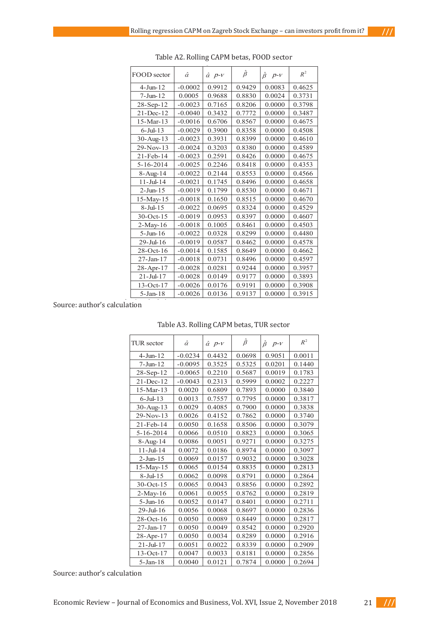| FOOD sector      | $\hat{\alpha}$ | $\hat{\alpha}$ $p$ - $V$ | $\hat{\beta}$ | $\hat{\beta}$<br>$p - V$ | $R^2$  |
|------------------|----------------|--------------------------|---------------|--------------------------|--------|
| $4$ -Jun- $12$   | $-0.0002$      | 0.9912                   | 0.9429        | 0.0083                   | 0.4625 |
| $7 -$ Jun $-12$  | 0.0005         | 0.9688                   | 0.8830        | 0.0024                   | 0.3731 |
| 28-Sep-12        | $-0.0023$      | 0.7165                   | 0.8206        | 0.0000                   | 0.3798 |
| $21 - Dec-12$    | $-0.0040$      | 0.3432                   | 0.7772        | 0.0000                   | 0.3487 |
| 15-Mar-13        | $-0.0016$      | 0.6706                   | 0.8567        | 0.0000                   | 0.4675 |
| $6$ -Jul-13      | $-0.0029$      | 0.3900                   | 0.8358        | 0.0000                   | 0.4508 |
| 30-Aug-13        | $-0.0023$      | 0.3931                   | 0.8399        | 0.0000                   | 0.4610 |
| 29-Nov-13        | $-0.0024$      | 0.3203                   | 0.8380        | 0.0000                   | 0.4589 |
| 21-Feb-14        | $-0.0023$      | 0.2591                   | 0.8426        | 0.0000                   | 0.4675 |
| 5-16-2014        | $-0.0025$      | 0.2246                   | 0.8418        | 0.0000                   | 0.4353 |
| $8 - Aug-14$     | $-0.0022$      | 0.2144                   | 0.8553        | 0.0000                   | 0.4566 |
| $11 -$ Jul- $14$ | $-0.0021$      | 0.1745                   | 0.8496        | 0.0000                   | 0.4658 |
| $2-J$ un- $15$   | $-0.0019$      | 0.1799                   | 0.8530        | 0.0000                   | 0.4671 |
| $15$ -May- $15$  | $-0.0018$      | 0.1650                   | 0.8515        | 0.0000                   | 0.4670 |
| $8$ -Jul-15      | $-0.0022$      | 0.0695                   | 0.8324        | 0.0000                   | 0.4529 |
| $30$ -Oct-15     | $-0.0019$      | 0.0953                   | 0.8397        | 0.0000                   | 0.4607 |
| 2-May-16         | $-0.0018$      | 0.1005                   | 0.8461        | 0.0000                   | 0.4503 |
| $5 -$ Jun $-16$  | $-0.0022$      | 0.0328                   | 0.8299        | 0.0000                   | 0.4480 |
| $29 -$ Jul-16    | $-0.0019$      | 0.0587                   | 0.8462        | 0.0000                   | 0.4578 |
| $28$ -Oct-16     | $-0.0014$      | 0.1585                   | 0.8649        | 0.0000                   | 0.4662 |
| 27-Jan-17        | $-0.0018$      | 0.0731                   | 0.8496        | 0.0000                   | 0.4597 |
| 28-Apr-17        | $-0.0028$      | 0.0281                   | 0.9244        | 0.0000                   | 0.3957 |
| $21 -$ Jul- $17$ | $-0.0028$      | 0.0149                   | 0.9177        | 0.0000                   | 0.3893 |
| $13-Oct-17$      | $-0.0026$      | 0.0176                   | 0.9191        | 0.0000                   | 0.3908 |
| $5-$ Jan $-18$   | $-0.0026$      | 0.0136                   | 0.9137        | 0.0000                   | 0.3915 |

Table A2. Rolling CAPM betas, FOOD sector Table A2: Rolling CAPM betas, FOOD sector

Source: author's calculation Source: author's calculation

| TUR sector       | $\hat{\alpha}$ | $\hat{\alpha}$ $p$ - $V$ | $\hat{\beta}$ | $\hat{\beta}$<br>$p - V$ | $R^2$  |
|------------------|----------------|--------------------------|---------------|--------------------------|--------|
| $4-J$ un- $12$   | $-0.0234$      | 0.4432                   | 0.0698        | 0.9051                   | 0.0011 |
| $7 - Jun - 12$   | $-0.0095$      | 0.3525                   | 0.5325        | 0.0201                   | 0.1440 |
| $28 - Sep-12$    | $-0.0065$      | 0.2210                   | 0.5687        | 0.0019                   | 0.1783 |
| 21-Dec-12        | $-0.0043$      | 0.2313                   | 0.5999        | 0.0002                   | 0.2227 |
| 15-Mar-13        | 0.0020         | 0.6809                   | 0.7893        | 0.0000                   | 0.3840 |
| $6$ -Jul-13      | 0.0013         | 0.7557                   | 0.7795        | 0.0000                   | 0.3817 |
| 30-Aug-13        | 0.0029         | 0.4085                   | 0.7900        | 0.0000                   | 0.3838 |
| 29-Nov-13        | 0.0026         | 0.4152                   | 0.7862        | 0.0000                   | 0.3740 |
| 21-Feb-14        | 0.0050         | 0.1658                   | 0.8506        | 0.0000                   | 0.3079 |
| $5 - 16 - 2014$  | 0.0066         | 0.0510                   | 0.8823        | 0.0000                   | 0.3065 |
| 8-Aug-14         | 0.0086         | 0.0051                   | 0.9271        | 0.0000                   | 0.3275 |
| $11 -$ Jul- $14$ | 0.0072         | 0.0186                   | 0.8974        | 0.0000                   | 0.3097 |
| $2-J$ un- $15$   | 0.0069         | 0.0157                   | 0.9032        | 0.0000                   | 0.3028 |
| $15$ -May-15     | 0.0065         | 0.0154                   | 0.8835        | 0.0000                   | 0.2813 |
| $8$ -Jul-15      | 0.0062         | 0.0098                   | 0.8791        | 0.0000                   | 0.2864 |
| $30$ -Oct-15     | 0.0065         | 0.0043                   | 0.8856        | 0.0000                   | 0.2892 |
| $2-May-16$       | 0.0061         | 0.0055                   | 0.8762        | 0.0000                   | 0.2819 |
| $5 - Jun-16$     | 0.0052         | 0.0147                   | 0.8401        | 0.0000                   | 0.2711 |
| 29-Jul-16        | 0.0056         | 0.0068                   | 0.8697        | 0.0000                   | 0.2836 |
| $28$ -Oct-16     | 0.0050         | 0.0089                   | 0.8449        | 0.0000                   | 0.2817 |
| 27-Jan-17        | 0.0050         | 0.0049                   | 0.8542        | 0.0000                   | 0.2920 |
| 28-Apr-17        | 0.0050         | 0.0034                   | 0.8289        | 0.0000                   | 0.2916 |
| $21 -$ Jul- $17$ | 0.0051         | 0.0022                   | 0.8339        | 0.0000                   | 0.2909 |
| $13-Oct-17$      | 0.0047         | 0.0033                   | 0.8181        | 0.0000                   | 0.2856 |
| $5-$ Jan $-18$   | 0.0040         | 0.0121                   | 0.7874        | 0.0000                   | 0.2694 |

## Table A3. Rolling CAPM betas, TUR sector Table A3: Rolling CAPM betas, TUR sector

Source: author's calculation Source: author's calculation